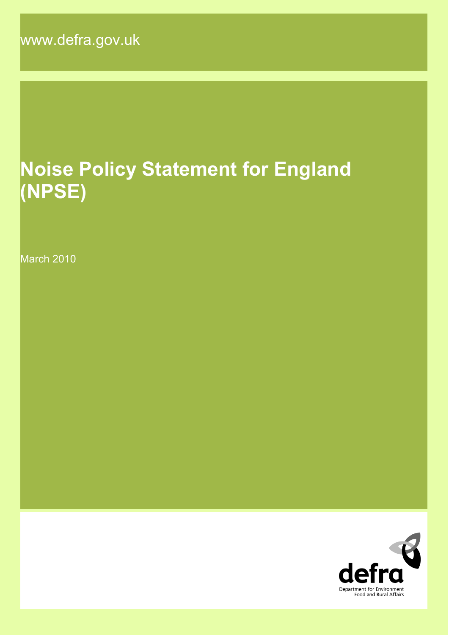www.defra.gov.uk

# **Noise Policy Statement for England (NPSE)**

March 2010

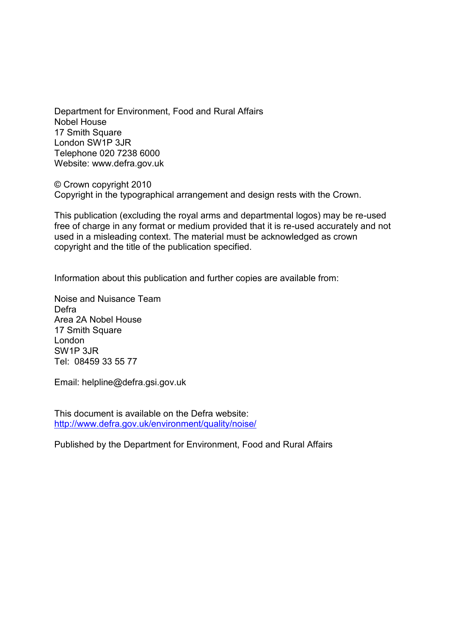Department for Environment, Food and Rural Affairs Nobel House 17 Smith Square London SW1P 3JR Telephone 020 7238 6000 Website: www.defra.gov.uk

© Crown copyright 2010 Copyright in the typographical arrangement and design rests with the Crown.

This publication (excluding the royal arms and departmental logos) may be re-used free of charge in any format or medium provided that it is re-used accurately and not used in a misleading context. The material must be acknowledged as crown copyright and the title of the publication specified.

Information about this publication and further copies are available from:

Noise and Nuisance Team Defra Area 2A Nobel House 17 Smith Square London SW1P 3JR Tel: 08459 33 55 77

Email: helpline@defra.gsi.gov.uk

This document is available on the Defra website: http://www.defra.gov.uk/environment/quality/noise/

Published by the Department for Environment, Food and Rural Affairs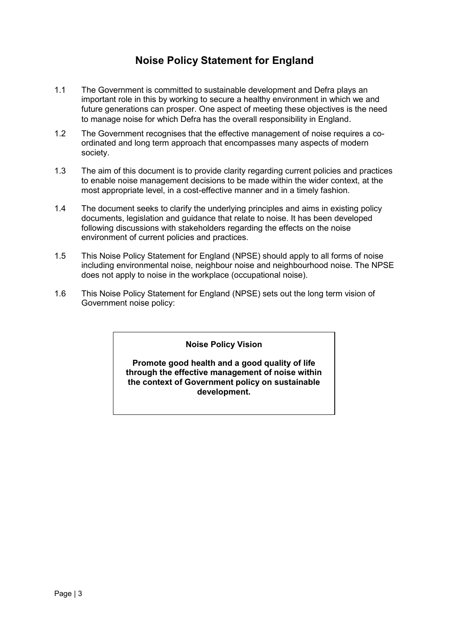# **Noise Policy Statement for England**

- 1.1 The Government is committed to sustainable development and Defra plays an important role in this by working to secure a healthy environment in which we and future generations can prosper. One aspect of meeting these objectives is the need to manage noise for which Defra has the overall responsibility in England.
- 1.2 The Government recognises that the effective management of noise requires a coordinated and long term approach that encompasses many aspects of modern society.
- 1.3 The aim of this document is to provide clarity regarding current policies and practices to enable noise management decisions to be made within the wider context, at the most appropriate level, in a cost-effective manner and in a timely fashion.
- 1.4 The document seeks to clarify the underlying principles and aims in existing policy documents, legislation and guidance that relate to noise. It has been developed following discussions with stakeholders regarding the effects on the noise environment of current policies and practices.
- 1.5 This Noise Policy Statement for England (NPSE) should apply to all forms of noise including environmental noise, neighbour noise and neighbourhood noise. The NPSE does not apply to noise in the workplace (occupational noise).
- 1.6 This Noise Policy Statement for England (NPSE) sets out the long term vision of Government noise policy:

#### **Noise Policy Vision**

**Promote good health and a good quality of life through the effective management of noise within the context of Government policy on sustainable development.**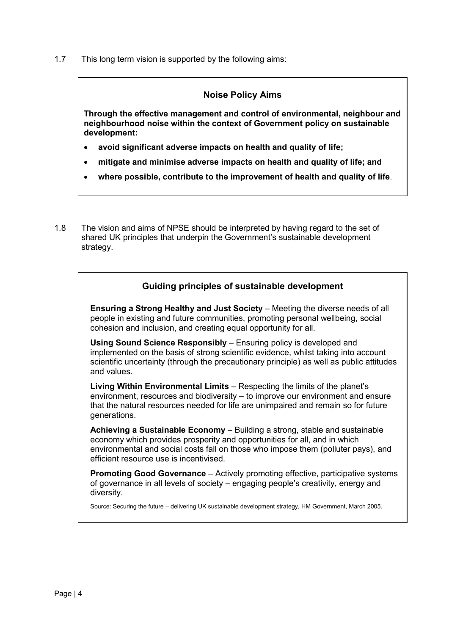1.7 This long term vision is supported by the following aims:

## **Noise Policy Aims**

**Through the effective management and control of environmental, neighbour and neighbourhood noise within the context of Government policy on sustainable development:**

- **avoid significant adverse impacts on health and quality of life;**
- **mitigate and minimise adverse impacts on health and quality of life; and**
- **where possible, contribute to the improvement of health and quality of life**.
- 1.8 The vision and aims of NPSE should be interpreted by having regard to the set of shared UK principles that underpin the Government"s sustainable development strategy.

## **Guiding principles of sustainable development**

**Ensuring a Strong Healthy and Just Society** – Meeting the diverse needs of all people in existing and future communities, promoting personal wellbeing, social cohesion and inclusion, and creating equal opportunity for all.

**Using Sound Science Responsibly – Ensuring policy is developed and** implemented on the basis of strong scientific evidence, whilst taking into account scientific uncertainty (through the precautionary principle) as well as public attitudes and values.

**Living Within Environmental Limits** – Respecting the limits of the planet"s environment, resources and biodiversity – to improve our environment and ensure that the natural resources needed for life are unimpaired and remain so for future generations.

**Achieving a Sustainable Economy** – Building a strong, stable and sustainable economy which provides prosperity and opportunities for all, and in which environmental and social costs fall on those who impose them (polluter pays), and efficient resource use is incentivised.

**Promoting Good Governance** – Actively promoting effective, participative systems of governance in all levels of society – engaging people"s creativity, energy and diversity.

Source: Securing the future – delivering UK sustainable development strategy, HM Government, March 2005.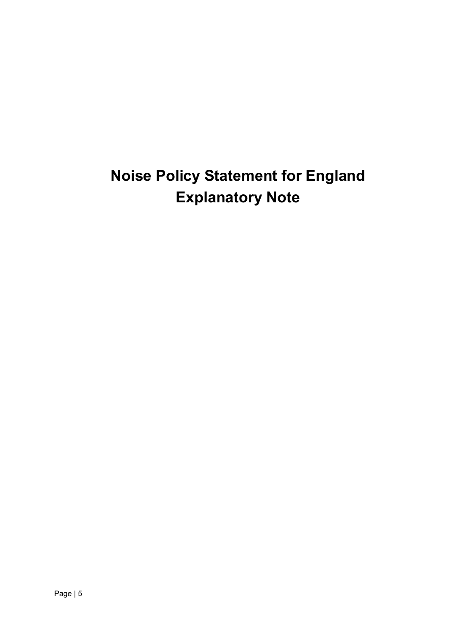# **Noise Policy Statement for England Explanatory Note**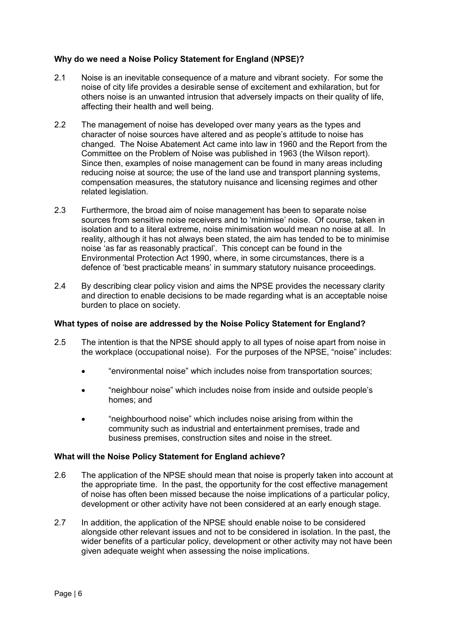### **Why do we need a Noise Policy Statement for England (NPSE)?**

- 2.1 Noise is an inevitable consequence of a mature and vibrant society. For some the noise of city life provides a desirable sense of excitement and exhilaration, but for others noise is an unwanted intrusion that adversely impacts on their quality of life, affecting their health and well being.
- 2.2 The management of noise has developed over many years as the types and character of noise sources have altered and as people"s attitude to noise has changed. The Noise Abatement Act came into law in 1960 and the Report from the Committee on the Problem of Noise was published in 1963 (the Wilson report). Since then, examples of noise management can be found in many areas including reducing noise at source; the use of the land use and transport planning systems, compensation measures, the statutory nuisance and licensing regimes and other related legislation.
- 2.3 Furthermore, the broad aim of noise management has been to separate noise sources from sensitive noise receivers and to "minimise" noise. Of course, taken in isolation and to a literal extreme, noise minimisation would mean no noise at all. In reality, although it has not always been stated, the aim has tended to be to minimise noise "as far as reasonably practical". This concept can be found in the Environmental Protection Act 1990, where, in some circumstances, there is a defence of "best practicable means" in summary statutory nuisance proceedings.
- 2.4 By describing clear policy vision and aims the NPSE provides the necessary clarity and direction to enable decisions to be made regarding what is an acceptable noise burden to place on society.

#### **What types of noise are addressed by the Noise Policy Statement for England?**

- 2.5 The intention is that the NPSE should apply to all types of noise apart from noise in the workplace (occupational noise). For the purposes of the NPSE, "noise" includes:
	- "environmental noise" which includes noise from transportation sources;
	- "neighbour noise" which includes noise from inside and outside people"s homes; and
	- "neighbourhood noise" which includes noise arising from within the community such as industrial and entertainment premises, trade and business premises, construction sites and noise in the street.

#### **What will the Noise Policy Statement for England achieve?**

- 2.6 The application of the NPSE should mean that noise is properly taken into account at the appropriate time. In the past, the opportunity for the cost effective management of noise has often been missed because the noise implications of a particular policy, development or other activity have not been considered at an early enough stage.
- 2.7 In addition, the application of the NPSE should enable noise to be considered alongside other relevant issues and not to be considered in isolation. In the past, the wider benefits of a particular policy, development or other activity may not have been given adequate weight when assessing the noise implications.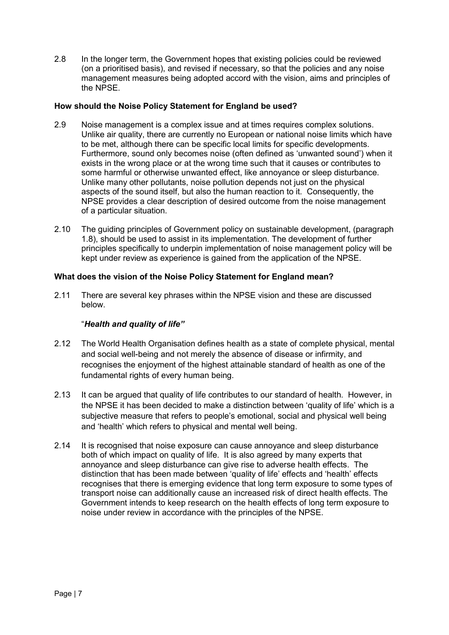2.8 In the longer term, the Government hopes that existing policies could be reviewed (on a prioritised basis), and revised if necessary, so that the policies and any noise management measures being adopted accord with the vision, aims and principles of the NPSE.

### **How should the Noise Policy Statement for England be used?**

- 2.9 Noise management is a complex issue and at times requires complex solutions. Unlike air quality, there are currently no European or national noise limits which have to be met, although there can be specific local limits for specific developments. Furthermore, sound only becomes noise (often defined as "unwanted sound") when it exists in the wrong place or at the wrong time such that it causes or contributes to some harmful or otherwise unwanted effect, like annoyance or sleep disturbance. Unlike many other pollutants, noise pollution depends not just on the physical aspects of the sound itself, but also the human reaction to it. Consequently, the NPSE provides a clear description of desired outcome from the noise management of a particular situation.
- 2.10 The guiding principles of Government policy on sustainable development, (paragraph 1.8), should be used to assist in its implementation. The development of further principles specifically to underpin implementation of noise management policy will be kept under review as experience is gained from the application of the NPSE.

#### **What does the vision of the Noise Policy Statement for England mean?**

2.11 There are several key phrases within the NPSE vision and these are discussed below.

#### "*Health and quality of life"*

- 2.12 The World Health Organisation defines health as a state of complete physical, mental and social well-being and not merely the absence of disease or infirmity, and recognises the enjoyment of the highest attainable standard of health as one of the fundamental rights of every human being.
- 2.13 It can be argued that quality of life contributes to our standard of health. However, in the NPSE it has been decided to make a distinction between "quality of life" which is a subjective measure that refers to people's emotional, social and physical well being and "health" which refers to physical and mental well being.
- 2.14 It is recognised that noise exposure can cause annoyance and sleep disturbance both of which impact on quality of life. It is also agreed by many experts that annoyance and sleep disturbance can give rise to adverse health effects. The distinction that has been made between "quality of life" effects and "health" effects recognises that there is emerging evidence that long term exposure to some types of transport noise can additionally cause an increased risk of direct health effects. The Government intends to keep research on the health effects of long term exposure to noise under review in accordance with the principles of the NPSE.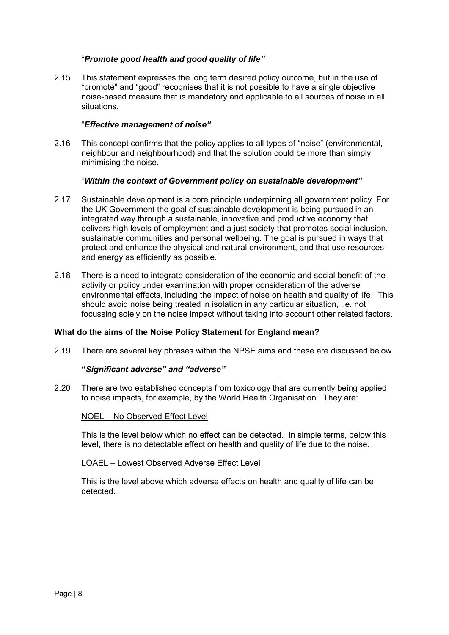#### "*Promote good health and good quality of life"*

2.15 This statement expresses the long term desired policy outcome, but in the use of "promote" and "good" recognises that it is not possible to have a single objective noise-based measure that is mandatory and applicable to all sources of noise in all situations.

#### "*Effective management of noise"*

2.16 This concept confirms that the policy applies to all types of "noise" (environmental, neighbour and neighbourhood) and that the solution could be more than simply minimising the noise.

#### "*Within the context of Government policy on sustainable development"*

- 2.17 Sustainable development is a core principle underpinning all government policy. For the UK Government the goal of sustainable development is being pursued in an integrated way through a sustainable, innovative and productive economy that delivers high levels of employment and a just society that promotes social inclusion, sustainable communities and personal wellbeing. The goal is pursued in ways that protect and enhance the physical and natural environment, and that use resources and energy as efficiently as possible.
- 2.18 There is a need to integrate consideration of the economic and social benefit of the activity or policy under examination with proper consideration of the adverse environmental effects, including the impact of noise on health and quality of life. This should avoid noise being treated in isolation in any particular situation, i.e. not focussing solely on the noise impact without taking into account other related factors.

#### **What do the aims of the Noise Policy Statement for England mean?**

2.19 There are several key phrases within the NPSE aims and these are discussed below.

#### **"***Significant adverse" and "adverse"*

2.20 There are two established concepts from toxicology that are currently being applied to noise impacts, for example, by the World Health Organisation. They are:

#### NOEL – No Observed Effect Level

This is the level below which no effect can be detected. In simple terms, below this level, there is no detectable effect on health and quality of life due to the noise.

#### LOAEL – Lowest Observed Adverse Effect Level

This is the level above which adverse effects on health and quality of life can be detected.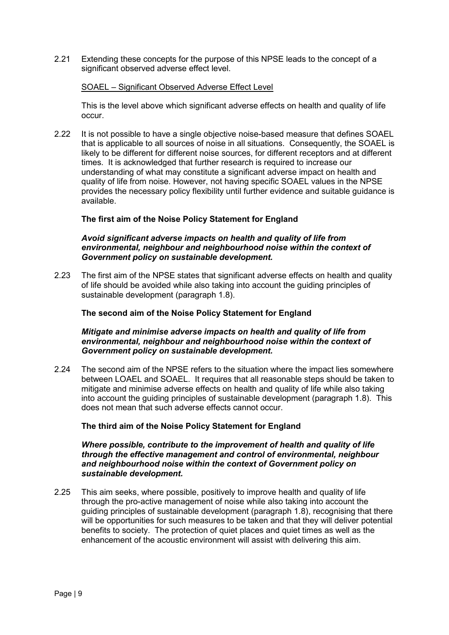2.21 Extending these concepts for the purpose of this NPSE leads to the concept of a significant observed adverse effect level.

#### SOAEL – Significant Observed Adverse Effect Level

This is the level above which significant adverse effects on health and quality of life occur.

2.22 It is not possible to have a single objective noise-based measure that defines SOAEL that is applicable to all sources of noise in all situations. Consequently, the SOAEL is likely to be different for different noise sources, for different receptors and at different times. It is acknowledged that further research is required to increase our understanding of what may constitute a significant adverse impact on health and quality of life from noise. However, not having specific SOAEL values in the NPSE provides the necessary policy flexibility until further evidence and suitable guidance is available.

#### **The first aim of the Noise Policy Statement for England**

#### *Avoid significant adverse impacts on health and quality of life from environmental, neighbour and neighbourhood noise within the context of Government policy on sustainable development.*

2.23 The first aim of the NPSE states that significant adverse effects on health and quality of life should be avoided while also taking into account the guiding principles of sustainable development (paragraph 1.8).

#### **The second aim of the Noise Policy Statement for England**

#### *Mitigate and minimise adverse impacts on health and quality of life from environmental, neighbour and neighbourhood noise within the context of Government policy on sustainable development.*

2.24 The second aim of the NPSE refers to the situation where the impact lies somewhere between LOAEL and SOAEL. It requires that all reasonable steps should be taken to mitigate and minimise adverse effects on health and quality of life while also taking into account the guiding principles of sustainable development (paragraph 1.8). This does not mean that such adverse effects cannot occur.

#### **The third aim of the Noise Policy Statement for England**

#### *Where possible, contribute to the improvement of health and quality of life through the effective management and control of environmental, neighbour and neighbourhood noise within the context of Government policy on sustainable development.*

2.25 This aim seeks, where possible, positively to improve health and quality of life through the pro-active management of noise while also taking into account the guiding principles of sustainable development (paragraph 1.8), recognising that there will be opportunities for such measures to be taken and that they will deliver potential benefits to society. The protection of quiet places and quiet times as well as the enhancement of the acoustic environment will assist with delivering this aim.